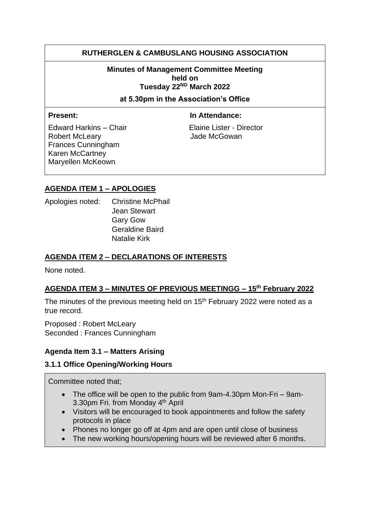# **RUTHERGLEN & CAMBUSLANG HOUSING ASSOCIATION**

**Minutes of Management Committee Meeting held on Tuesday 22ND March 2022** 

**at 5.30pm in the Association's Office**

**Present:** In Attendance:

Robert McLeary **Communist Communist Communist Communist Communist Communist Communist Communist Communist Communist Communist Communist Communist Communist Communist Communist Communist Communist Communist Communist Commun** Frances Cunningham Karen McCartney Maryellen McKeown

Edward Harkins – Chair Elaine Lister - Director

## **AGENDA ITEM 1 – APOLOGIES**

Apologies noted: Christine McPhail Jean Stewart Gary Gow Geraldine Baird Natalie Kirk

### **AGENDA ITEM 2 – DECLARATIONS OF INTERESTS**

None noted.

## **AGENDA ITEM 3 – MINUTES OF PREVIOUS MEETINGG – 15th February 2022**

The minutes of the previous meeting held on  $15<sup>th</sup>$  February 2022 were noted as a true record.

Proposed : Robert McLeary Seconded : Frances Cunningham

#### **Agenda Item 3.1 – Matters Arising**

#### **3.1.1 Office Opening/Working Hours**

Committee noted that;

- The office will be open to the public from 9am-4.30pm Mon-Fri 9am-3.30pm Fri. from Monday 4<sup>th</sup> April
- Visitors will be encouraged to book appointments and follow the safety protocols in place
- Phones no longer go off at 4pm and are open until close of business
- The new working hours/opening hours will be reviewed after 6 months.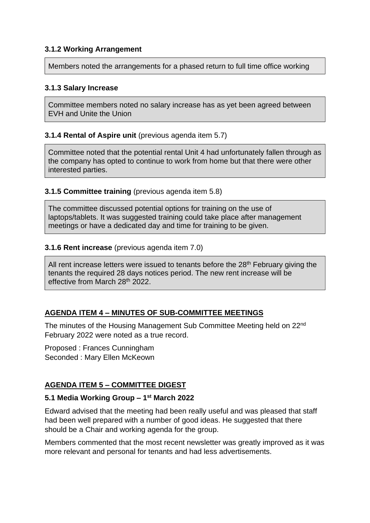### **3.1.2 Working Arrangement**

Members noted the arrangements for a phased return to full time office working

#### **3.1.3 Salary Increase**

Committee members noted no salary increase has as yet been agreed between EVH and Unite the Union

## **3.1.4 Rental of Aspire unit (previous agenda item 5.7)**

Committee noted that the potential rental Unit 4 had unfortunately fallen through as the company has opted to continue to work from home but that there were other interested parties.

## **3.1.5 Committee training** (previous agenda item 5.8)

The committee discussed potential options for training on the use of laptops/tablets. It was suggested training could take place after management meetings or have a dedicated day and time for training to be given.

#### **3.1.6 Rent increase** (previous agenda item 7.0)

All rent increase letters were issued to tenants before the 28<sup>th</sup> February giving the tenants the required 28 days notices period. The new rent increase will be effective from March 28<sup>th</sup> 2022.

## **AGENDA ITEM 4 – MINUTES OF SUB-COMMITTEE MEETINGS**

The minutes of the Housing Management Sub Committee Meeting held on 22nd February 2022 were noted as a true record.

Proposed : Frances Cunningham Seconded : Mary Ellen McKeown

# **AGENDA ITEM 5 – COMMITTEE DIGEST**

## **5.1 Media Working Group – 1 st March 2022**

Edward advised that the meeting had been really useful and was pleased that staff had been well prepared with a number of good ideas. He suggested that there should be a Chair and working agenda for the group.

Members commented that the most recent newsletter was greatly improved as it was more relevant and personal for tenants and had less advertisements.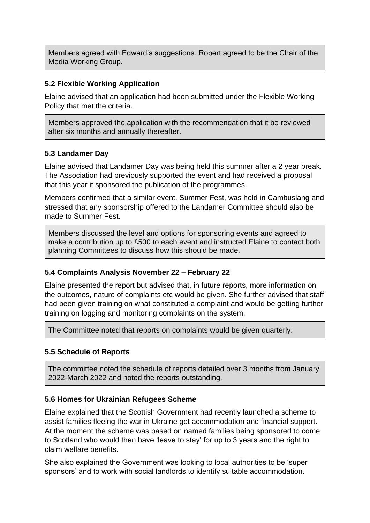Members agreed with Edward's suggestions. Robert agreed to be the Chair of the Media Working Group.

## **5.2 Flexible Working Application**

Elaine advised that an application had been submitted under the Flexible Working Policy that met the criteria.

Members approved the application with the recommendation that it be reviewed after six months and annually thereafter.

#### **5.3 Landamer Day**

Elaine advised that Landamer Day was being held this summer after a 2 year break. The Association had previously supported the event and had received a proposal that this year it sponsored the publication of the programmes.

Members confirmed that a similar event, Summer Fest, was held in Cambuslang and stressed that any sponsorship offered to the Landamer Committee should also be made to Summer Fest.

Members discussed the level and options for sponsoring events and agreed to make a contribution up to £500 to each event and instructed Elaine to contact both planning Committees to discuss how this should be made.

#### **5.4 Complaints Analysis November 22 – February 22**

Elaine presented the report but advised that, in future reports, more information on the outcomes, nature of complaints etc would be given. She further advised that staff had been given training on what constituted a complaint and would be getting further training on logging and monitoring complaints on the system.

The Committee noted that reports on complaints would be given quarterly.

#### **5.5 Schedule of Reports**

The committee noted the schedule of reports detailed over 3 months from January 2022-March 2022 and noted the reports outstanding.

#### **5.6 Homes for Ukrainian Refugees Scheme**

Elaine explained that the Scottish Government had recently launched a scheme to assist families fleeing the war in Ukraine get accommodation and financial support. At the moment the scheme was based on named families being sponsored to come to Scotland who would then have 'leave to stay' for up to 3 years and the right to claim welfare benefits.

She also explained the Government was looking to local authorities to be 'super sponsors' and to work with social landlords to identify suitable accommodation.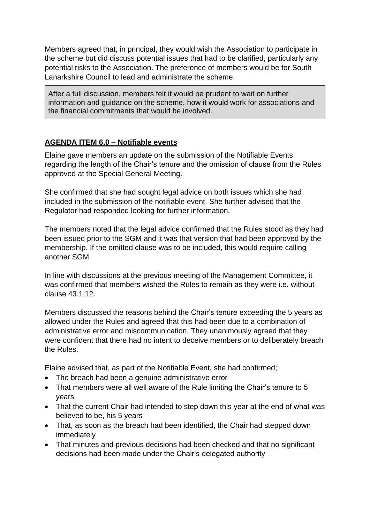Members agreed that, in principal, they would wish the Association to participate in the scheme but did discuss potential issues that had to be clarified, particularly any potential risks to the Association. The preference of members would be for South Lanarkshire Council to lead and administrate the scheme.

After a full discussion, members felt it would be prudent to wait on further information and guidance on the scheme, how it would work for associations and the financial commitments that would be involved.

## **AGENDA ITEM 6.0 – Notifiable events**

Elaine gave members an update on the submission of the Notifiable Events regarding the length of the Chair's tenure and the omission of clause from the Rules approved at the Special General Meeting.

She confirmed that she had sought legal advice on both issues which she had included in the submission of the notifiable event. She further advised that the Regulator had responded looking for further information.

The members noted that the legal advice confirmed that the Rules stood as they had been issued prior to the SGM and it was that version that had been approved by the membership. If the omitted clause was to be included, this would require calling another SGM.

In line with discussions at the previous meeting of the Management Committee, it was confirmed that members wished the Rules to remain as they were i.e. without clause 43.1.12.

Members discussed the reasons behind the Chair's tenure exceeding the 5 years as allowed under the Rules and agreed that this had been due to a combination of administrative error and miscommunication. They unanimously agreed that they were confident that there had no intent to deceive members or to deliberately breach the Rules.

Elaine advised that, as part of the Notifiable Event, she had confirmed;

- The breach had been a genuine administrative error
- That members were all well aware of the Rule limiting the Chair's tenure to 5 years
- That the current Chair had intended to step down this year at the end of what was believed to be, his 5 years
- That, as soon as the breach had been identified, the Chair had stepped down immediately
- That minutes and previous decisions had been checked and that no significant decisions had been made under the Chair's delegated authority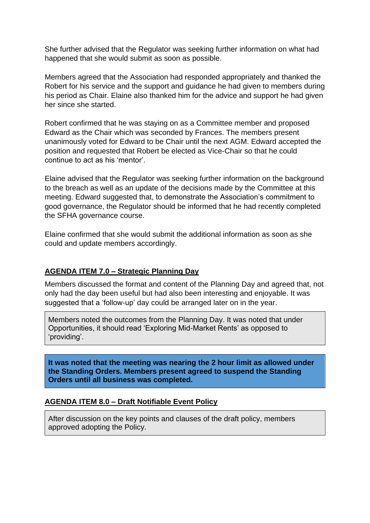She further advised that the Regulator was seeking further information on what had happened that she would submit as soon as possible.

Members agreed that the Association had responded appropriately and thanked the Robert for his service and the support and guidance he had given to members during his period as Chair. Elaine also thanked him for the advice and support he had given her since she started.

Robert confirmed that he was staying on as a Committee member and proposed Edward as the Chair which was seconded by Frances. The members present unanimously voted for Edward to be Chair until the next AGM. Edward accepted the position and requested that Robert be elected as Vice-Chair so that he could continue to act as his 'mentor'.

Elaine advised that the Regulator was seeking further information on the background to the breach as well as an update of the decisions made by the Committee at this meeting. Edward suggested that, to demonstrate the Association's commitment to good governance, the Regulator should be informed that he had recently completed the SFHA governance course.

Elaine confirmed that she would submit the additional information as soon as she could and update members accordingly.

## **AGENDA ITEM 7.0 – Strategic Planning Day**

Members discussed the format and content of the Planning Day and agreed that, not only had the day been useful but had also been interesting and enjoyable. It was suggested that a 'follow-up' day could be arranged later on in the year.

Members noted the outcomes from the Planning Day. It was noted that under Opportunities, it should read 'Exploring Mid-Market Rents' as opposed to 'providing'.

**It was noted that the meeting was nearing the 2 hour limit as allowed under the Standing Orders. Members present agreed to suspend the Standing Orders until all business was completed.**

#### **AGENDA ITEM 8.0 – Draft Notifiable Event Policy**

After discussion on the key points and clauses of the draft policy, members approved adopting the Policy.